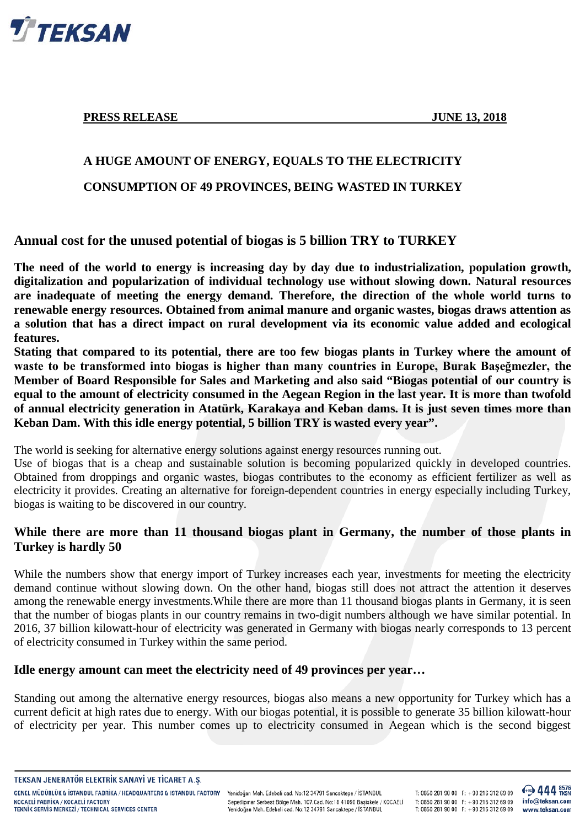

**PRESS RELEASE JUNE 13, 2018** 

# **A HUGE AMOUNT OF ENERGY, EQUALS TO THE ELECTRICITY**

**CONSUMPTION OF 49 PROVINCES, BEING WASTED IN TURKEY**

# **Annual cost for the unused potential of biogas is 5 billion TRY to TURKEY**

**The need of the world to energy is increasing day by day due to industrialization, population growth, digitalization and popularization of individual technology use without slowing down. Natural resources are inadequate of meeting the energy demand. Therefore, the direction of the whole world turns to renewable energy resources. Obtained from animal manure and organic wastes, biogas draws attention as a solution that has a direct impact on rural development via its economic value added and ecological features.**

**Stating that compared to its potential, there are too few biogas plants in Turkey where the amount of waste to be transformed into biogas is higher than many countries in Europe, Burak Başeğmezler, the Member of Board Responsible for Sales and Marketing and also said "Biogas potential of our country is equal to the amount of electricity consumed in the Aegean Region in the last year. It is more than twofold of annual electricity generation in Atatürk, Karakaya and Keban dams. It is just seven times more than Keban Dam. With this idle energy potential, 5 billion TRY is wasted every year".**

The world is seeking for alternative energy solutions against energy resources running out.

Use of biogas that is a cheap and sustainable solution is becoming popularized quickly in developed countries. Obtained from droppings and organic wastes, biogas contributes to the economy as efficient fertilizer as well as electricity it provides. Creating an alternative for foreign-dependent countries in energy especially including Turkey, biogas is waiting to be discovered in our country.

# **While there are more than 11 thousand biogas plant in Germany, the number of those plants in Turkey is hardly 50**

While the numbers show that energy import of Turkey increases each year, investments for meeting the electricity demand continue without slowing down. On the other hand, biogas still does not attract the attention it deserves among the renewable energy investments.While there are more than 11 thousand biogas plants in Germany, it is seen that the number of biogas plants in our country remains in two-digit numbers although we have similar potential. In 2016, 37 billion kilowatt-hour of electricity was generated in Germany with biogas nearly corresponds to 13 percent of electricity consumed in Turkey within the same period.

## **Idle energy amount can meet the electricity need of 49 provinces per year…**

Standing out among the alternative energy resources, biogas also means a new opportunity for Turkey which has a current deficit at high rates due to energy. With our biogas potential, it is possible to generate 35 billion kilowatt-hour of electricity per year. This number comes up to electricity consumed in Aegean which is the second biggest

TEKSAN JENERATÖR ELEKTRIK SANAYI VE TICARET A.S.

GENEL MÜDÜRLÜK & İSTANBUL FABRİKA / HEADQUARTERS & ISTANBUL FACTORY Yenidoğan Mah. Edebali cad. No:12 34791 Sancaktepe / İSTANBUL KOCAFLİ FARRİKA / KOCAFLİ FACTORY **TEKNIK SERVIS MERKEZI / TECHNICAL SERVICES CENTER** 

Sepetlipinar Serbest Bölge Mah. 107.Cad. No:18 41090 Başiskele / KOCAELİ Yenidoğan Mah. Edebali cad. No:12 34791 Sancaktepe / İSTANBUL

T: 0850 281 90 00  $F: +90 216 312 69 09$ T: 0850 281 90 00 F:  $+90$  216 312 69 09 T: 0850 281 90 00 F:  $+90$  216 312 69 09

444 FKSN

info@teksan.com

www.teksan.com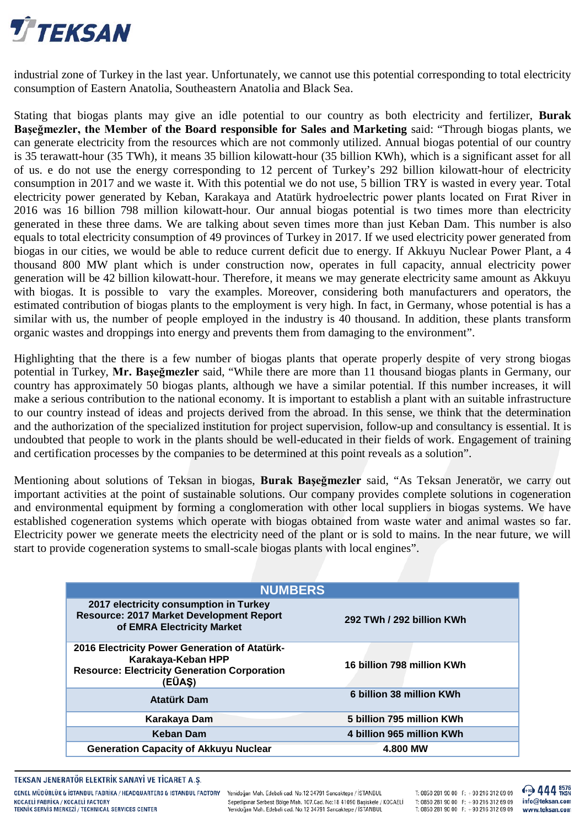

industrial zone of Turkey in the last year. Unfortunately, we cannot use this potential corresponding to total electricity consumption of Eastern Anatolia, Southeastern Anatolia and Black Sea.

Stating that biogas plants may give an idle potential to our country as both electricity and fertilizer, **Burak Başeğmezler, the Member of the Board responsible for Sales and Marketing** said: "Through biogas plants, we can generate electricity from the resources which are not commonly utilized. Annual biogas potential of our country is 35 terawatt-hour (35 TWh), it means 35 billion kilowatt-hour (35 billion KWh), which is a significant asset for all of us. e do not use the energy corresponding to 12 percent of Turkey's 292 billion kilowatt-hour of electricity consumption in 2017 and we waste it. With this potential we do not use, 5 billion TRY is wasted in every year. Total electricity power generated by Keban, Karakaya and Atatürk hydroelectric power plants located on Fırat River in 2016 was 16 billion 798 million kilowatt-hour. Our annual biogas potential is two times more than electricity generated in these three dams. We are talking about seven times more than just Keban Dam. This number is also equals to total electricity consumption of 49 provinces of Turkey in 2017. If we used electricity power generated from biogas in our cities, we would be able to reduce current deficit due to energy. If Akkuyu Nuclear Power Plant, a 4 thousand 800 MW plant which is under construction now, operates in full capacity, annual electricity power generation will be 42 billion kilowatt-hour. Therefore, it means we may generate electricity same amount as Akkuyu with biogas. It is possible to vary the examples. Moreover, considering both manufacturers and operators, the estimated contribution of biogas plants to the employment is very high. In fact, in Germany, whose potential is has a similar with us, the number of people employed in the industry is 40 thousand. In addition, these plants transform organic wastes and droppings into energy and prevents them from damaging to the environment".

Highlighting that the there is a few number of biogas plants that operate properly despite of very strong biogas potential in Turkey, **Mr. Başeğmezler** said, "While there are more than 11 thousand biogas plants in Germany, our country has approximately 50 biogas plants, although we have a similar potential. If this number increases, it will make a serious contribution to the national economy. It is important to establish a plant with an suitable infrastructure to our country instead of ideas and projects derived from the abroad. In this sense, we think that the determination and the authorization of the specialized institution for project supervision, follow-up and consultancy is essential. It is undoubted that people to work in the plants should be well-educated in their fields of work. Engagement of training and certification processes by the companies to be determined at this point reveals as a solution".

Mentioning about solutions of Teksan in biogas, **Burak Başeğmezler** said, "As Teksan Jeneratör, we carry out important activities at the point of sustainable solutions. Our company provides complete solutions in cogeneration and environmental equipment by forming a conglomeration with other local suppliers in biogas systems. We have established cogeneration systems which operate with biogas obtained from waste water and animal wastes so far. Electricity power we generate meets the electricity need of the plant or is sold to mains. In the near future, we will start to provide cogeneration systems to small-scale biogas plants with local engines".

| <b>NUMBERS</b>                                                                                                                       |  |          |                            |  |  |
|--------------------------------------------------------------------------------------------------------------------------------------|--|----------|----------------------------|--|--|
| 2017 electricity consumption in Turkey<br><b>Resource: 2017 Market Development Report</b><br>of EMRA Electricity Market              |  |          | 292 TWh / 292 billion KWh  |  |  |
| 2016 Electricity Power Generation of Atatürk-<br>Karakaya-Keban HPP<br><b>Resource: Electricity Generation Corporation</b><br>(EÜAŞ) |  |          | 16 billion 798 million KWh |  |  |
| <b>Atatürk Dam</b>                                                                                                                   |  |          | 6 billion 38 million KWh   |  |  |
| Karakaya Dam                                                                                                                         |  |          | 5 billion 795 million KWh  |  |  |
| <b>Keban Dam</b>                                                                                                                     |  |          | 4 billion 965 million KWh  |  |  |
| <b>Generation Capacity of Akkuyu Nuclear</b>                                                                                         |  | 4.800 MW |                            |  |  |

#### TEKSAN JENERATÖR ELEKTRIK SANAYI VE TICARET A.S.

GENEL MÜDÜRLÜK & İSTANBUL FABRİKA / HEADQUARTERS & ISTANBUL FACTORY KOCAFLİ FARRİKA / KOCAFLİ FACTORY **TEKNIK SERVIS MERKEZI / TECHNICAL SERVICES CENTER** 

Yenidoğan Mah. Edebali cad. No:12 34791 Sancaktepe / İSTANBUL Sepetlipinar Serbest Bölge Mah. 107.Cad. No:18 41090 Başiskele / KOCAELİ Yenidoğan Mah. Edebali cad. No:12 34791 Sancaktepe / İSTANBUL

T: 0850 281 90 00  $F$ : +90 216 312 69 09 T: 0850 281 90 00 F:  $+90$  216 312 69 09 T: 0850 281 90 00 F:  $+90$  216 312 69 09 444 FKSN info@teksan.com www.teksan.com